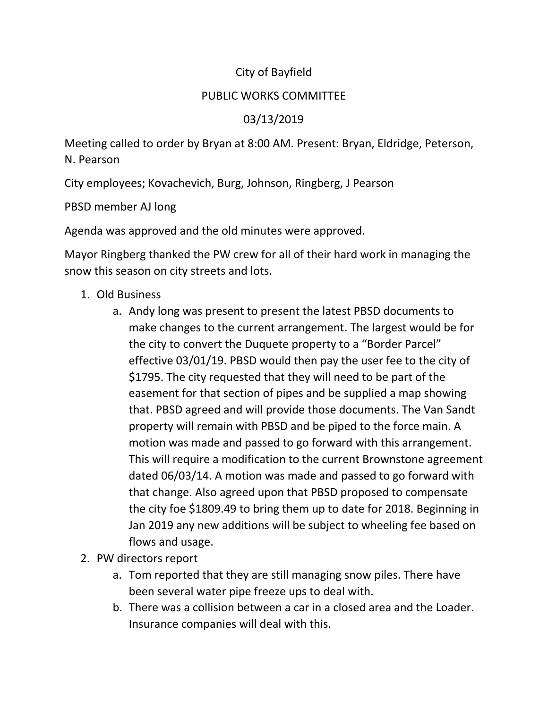## City of Bayfield

## PUBLIC WORKS COMMITTEE

## 03/13/2019

Meeting called to order by Bryan at 8:00 AM. Present: Bryan, Eldridge, Peterson, N. Pearson

City employees; Kovachevich, Burg, Johnson, Ringberg, J Pearson

PBSD member AJ long

Agenda was approved and the old minutes were approved.

Mayor Ringberg thanked the PW crew for all of their hard work in managing the snow this season on city streets and lots.

## 1. Old Business

- a. Andy long was present to present the latest PBSD documents to make changes to the current arrangement. The largest would be for the city to convert the Duquete property to a "Border Parcel" effective 03/01/19. PBSD would then pay the user fee to the city of \$1795. The city requested that they will need to be part of the easement for that section of pipes and be supplied a map showing that. PBSD agreed and will provide those documents. The Van Sandt property will remain with PBSD and be piped to the force main. A motion was made and passed to go forward with this arrangement. This will require a modification to the current Brownstone agreement dated 06/03/14. A motion was made and passed to go forward with that change. Also agreed upon that PBSD proposed to compensate the city foe \$1809.49 to bring them up to date for 2018. Beginning in Jan 2019 any new additions will be subject to wheeling fee based on flows and usage.
- 2. PW directors report
	- a. Tom reported that they are still managing snow piles. There have been several water pipe freeze ups to deal with.
	- b. There was a collision between a car in a closed area and the Loader. Insurance companies will deal with this.